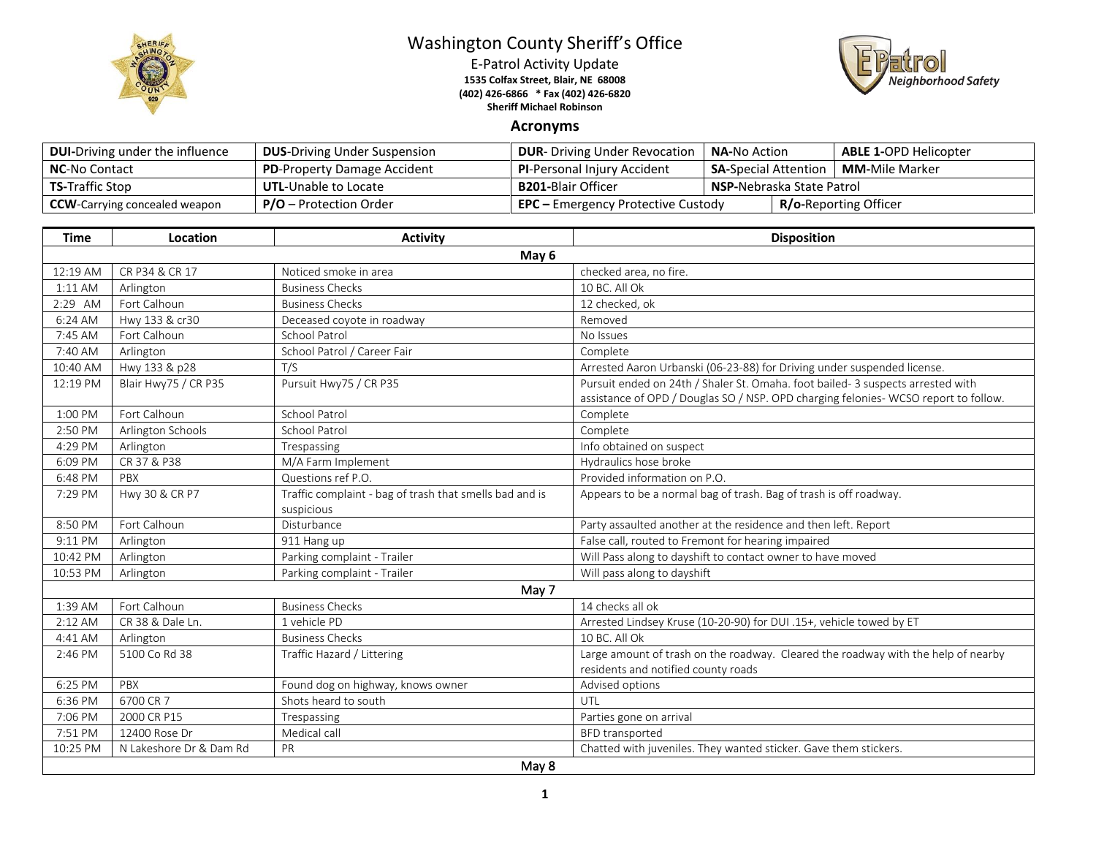

## Washington County Sheriff's Office

E-Patrol Activity Update **1535 Colfax Street, Blair, NE 68008 (402) 426-6866 \* Fax (402) 426-6820 Sheriff Michael Robinson**



## **Acronyms**

| <b>DUI-Driving under the influence</b> | <b>DUS-Driving Under Suspension</b> | <b>DUR-</b> Driving Under Revocation      | <b>NA-</b> No Action              |  | <b>ABLE 1-OPD Helicopter</b> |
|----------------------------------------|-------------------------------------|-------------------------------------------|-----------------------------------|--|------------------------------|
| <b>NC-No Contact</b>                   | <b>PD-Property Damage Accident</b>  | <b>PI-Personal Injury Accident</b>        | <b>SA-Special Attention</b>       |  | <b>MM-</b> Mile Marker       |
| <b>TS-Traffic Stop</b>                 | <b>UTL-Unable to Locate</b>         | <b>B201-</b> Blair Officer                | <b>NSP-</b> Nebraska State Patrol |  |                              |
| <b>CCW</b> -Carrying concealed weapon  | <b>P/O</b> – Protection Order       | <b>EPC</b> – Emergency Protective Custody |                                   |  | <b>R/o-Reporting Officer</b> |

| <b>Time</b> | Location                | <b>Activity</b>                                         | <b>Disposition</b>                                                                                                                                                     |  |  |  |
|-------------|-------------------------|---------------------------------------------------------|------------------------------------------------------------------------------------------------------------------------------------------------------------------------|--|--|--|
|             | May 6                   |                                                         |                                                                                                                                                                        |  |  |  |
| 12:19 AM    | CR P34 & CR 17          | Noticed smoke in area                                   | checked area, no fire.                                                                                                                                                 |  |  |  |
| 1:11 AM     | Arlington               | <b>Business Checks</b>                                  | 10 BC. All Ok                                                                                                                                                          |  |  |  |
| 2:29 AM     | Fort Calhoun            | <b>Business Checks</b>                                  | 12 checked, ok                                                                                                                                                         |  |  |  |
| 6:24 AM     | Hwy 133 & cr30          | Deceased coyote in roadway                              | Removed                                                                                                                                                                |  |  |  |
| 7:45 AM     | Fort Calhoun            | School Patrol                                           | No Issues                                                                                                                                                              |  |  |  |
| 7:40 AM     | Arlington               | School Patrol / Career Fair                             | Complete                                                                                                                                                               |  |  |  |
| 10:40 AM    | Hwy 133 & p28           | T/S                                                     | Arrested Aaron Urbanski (06-23-88) for Driving under suspended license.                                                                                                |  |  |  |
| 12:19 PM    | Blair Hwy75 / CR P35    | Pursuit Hwy75 / CR P35                                  | Pursuit ended on 24th / Shaler St. Omaha. foot bailed- 3 suspects arrested with<br>assistance of OPD / Douglas SO / NSP. OPD charging felonies- WCSO report to follow. |  |  |  |
| 1:00 PM     | Fort Calhoun            | <b>School Patrol</b>                                    | Complete                                                                                                                                                               |  |  |  |
| 2:50 PM     | Arlington Schools       | <b>School Patrol</b>                                    | Complete                                                                                                                                                               |  |  |  |
| 4:29 PM     | Arlington               | Trespassing                                             | Info obtained on suspect                                                                                                                                               |  |  |  |
| 6:09 PM     | CR 37 & P38             | M/A Farm Implement                                      | Hydraulics hose broke                                                                                                                                                  |  |  |  |
| 6:48 PM     | PBX                     | Questions ref P.O.                                      | Provided information on P.O.                                                                                                                                           |  |  |  |
| 7:29 PM     | Hwy 30 & CR P7          | Traffic complaint - bag of trash that smells bad and is | Appears to be a normal bag of trash. Bag of trash is off roadway.                                                                                                      |  |  |  |
|             |                         | suspicious                                              |                                                                                                                                                                        |  |  |  |
| 8:50 PM     | Fort Calhoun            | Disturbance                                             | Party assaulted another at the residence and then left. Report                                                                                                         |  |  |  |
| 9:11 PM     | Arlington               | 911 Hang up                                             | False call, routed to Fremont for hearing impaired                                                                                                                     |  |  |  |
| 10:42 PM    | Arlington               | Parking complaint - Trailer                             | Will Pass along to dayshift to contact owner to have moved                                                                                                             |  |  |  |
| 10:53 PM    | Arlington               | Parking complaint - Trailer                             | Will pass along to dayshift                                                                                                                                            |  |  |  |
|             |                         | May 7                                                   |                                                                                                                                                                        |  |  |  |
| 1:39 AM     | Fort Calhoun            | <b>Business Checks</b>                                  | 14 checks all ok                                                                                                                                                       |  |  |  |
| $2:12$ AM   | CR 38 & Dale Ln.        | 1 vehicle PD                                            | Arrested Lindsey Kruse (10-20-90) for DUI .15+, vehicle towed by ET                                                                                                    |  |  |  |
| 4:41 AM     | Arlington               | <b>Business Checks</b>                                  | 10 BC. All Ok                                                                                                                                                          |  |  |  |
| 2:46 PM     | 5100 Co Rd 38           | Traffic Hazard / Littering                              | Large amount of trash on the roadway. Cleared the roadway with the help of nearby<br>residents and notified county roads                                               |  |  |  |
| 6:25 PM     | PBX                     | Found dog on highway, knows owner                       | Advised options                                                                                                                                                        |  |  |  |
| 6:36 PM     | 6700 CR 7               | Shots heard to south                                    | UTL                                                                                                                                                                    |  |  |  |
| 7:06 PM     | 2000 CR P15             | Trespassing                                             | Parties gone on arrival                                                                                                                                                |  |  |  |
| 7:51 PM     | 12400 Rose Dr           | Medical call                                            | <b>BFD</b> transported                                                                                                                                                 |  |  |  |
| 10:25 PM    | N Lakeshore Dr & Dam Rd | PR                                                      | Chatted with juveniles. They wanted sticker. Gave them stickers.                                                                                                       |  |  |  |
| May 8       |                         |                                                         |                                                                                                                                                                        |  |  |  |